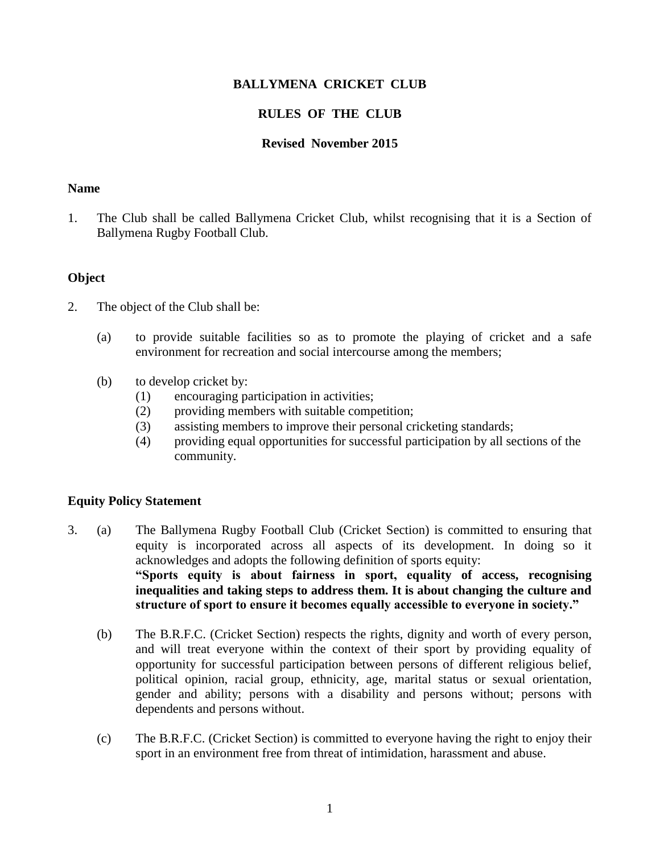### **BALLYMENA CRICKET CLUB**

# **RULES OF THE CLUB**

#### **Revised****November 2015**

#### **Name**

1. The Club shall be called Ballymena Cricket Club, whilst recognising that it is a Section of Ballymena Rugby Football Club.

#### **Object**

- 2. The object of the Club shall be:
	- (a) to provide suitable facilities so as to promote the playing of cricket and a safe environment for recreation and social intercourse among the members;
	- (b) to develop cricket by:
		- (1) encouraging participation in activities;
		- (2) providing members with suitable competition;
		- (3) assisting members to improve their personal cricketing standards;
		- (4) providing equal opportunities for successful participation by all sections of the community.

#### **Equity Policy Statement**

- 3. (a) The Ballymena Rugby Football Club (Cricket Section) is committed to ensuring that equity is incorporated across all aspects of its development. In doing so it acknowledges and adopts the following definition of sports equity: **"Sports equity is about fairness in sport, equality of access, recognising inequalities and taking steps to address them. It is about changing the culture and structure of sport to ensure it becomes equally accessible to everyone in society."**
	- (b) The B.R.F.C. (Cricket Section) respects the rights, dignity and worth of every person, and will treat everyone within the context of their sport by providing equality of opportunity for successful participation between persons of different religious belief, political opinion, racial group, ethnicity, age, marital status or sexual orientation, gender and ability; persons with a disability and persons without; persons with dependents and persons without.
	- (c) The B.R.F.C. (Cricket Section) is committed to everyone having the right to enjoy their sport in an environment free from threat of intimidation, harassment and abuse.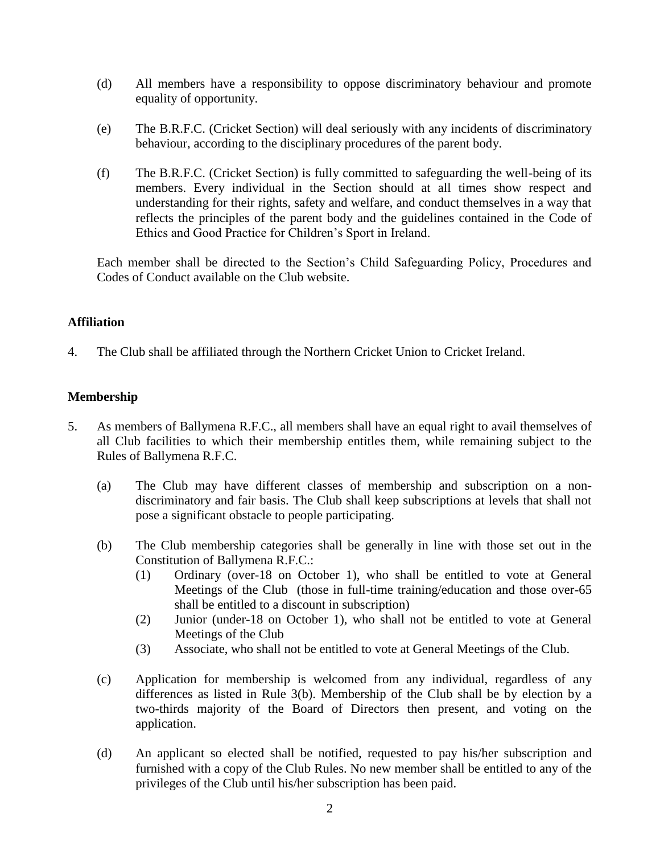- (d) All members have a responsibility to oppose discriminatory behaviour and promote equality of opportunity.
- (e) The B.R.F.C. (Cricket Section) will deal seriously with any incidents of discriminatory behaviour, according to the disciplinary procedures of the parent body.
- (f) The B.R.F.C. (Cricket Section) is fully committed to safeguarding the well-being of its members. Every individual in the Section should at all times show respect and understanding for their rights, safety and welfare, and conduct themselves in a way that reflects the principles of the parent body and the guidelines contained in the Code of Ethics and Good Practice for Children's Sport in Ireland.

Each member shall be directed to the Section's Child Safeguarding Policy, Procedures and Codes of Conduct available on the Club website.

## **Affiliation**

4. The Club shall be affiliated through the Northern Cricket Union to Cricket Ireland.

# **Membership**

- 5. As members of Ballymena R.F.C., all members shall have an equal right to avail themselves of all Club facilities to which their membership entitles them, while remaining subject to the Rules of Ballymena R.F.C.
	- (a) The Club may have different classes of membership and subscription on a nondiscriminatory and fair basis. The Club shall keep subscriptions at levels that shall not pose a significant obstacle to people participating.
	- (b) The Club membership categories shall be generally in line with those set out in the Constitution of Ballymena R.F.C.:
		- (1) Ordinary (over-18 on October 1), who shall be entitled to vote at General Meetings of the Club (those in full-time training/education and those over-65 shall be entitled to a discount in subscription)
		- (2) Junior (under-18 on October 1), who shall not be entitled to vote at General Meetings of the Club
		- (3) Associate, who shall not be entitled to vote at General Meetings of the Club.
	- (c) Application for membership is welcomed from any individual, regardless of any differences as listed in Rule 3(b). Membership of the Club shall be by election by a two-thirds majority of the Board of Directors then present, and voting on the application.
	- (d) An applicant so elected shall be notified, requested to pay his/her subscription and furnished with a copy of the Club Rules. No new member shall be entitled to any of the privileges of the Club until his/her subscription has been paid.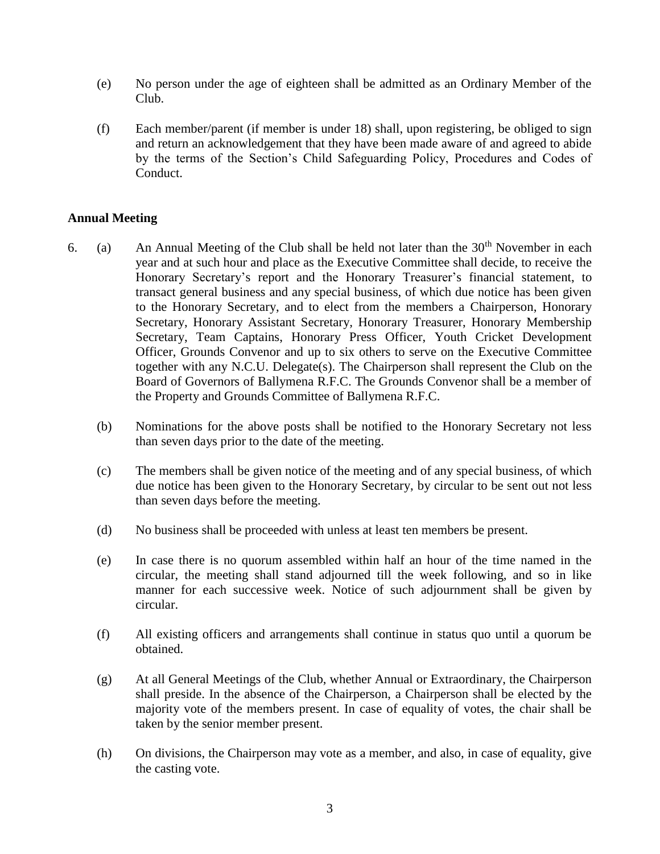- (e) No person under the age of eighteen shall be admitted as an Ordinary Member of the Club.
- (f) Each member/parent (if member is under 18) shall, upon registering, be obliged to sign and return an acknowledgement that they have been made aware of and agreed to abide by the terms of the Section's Child Safeguarding Policy, Procedures and Codes of Conduct.

## **Annual Meeting**

- 6. (a) An Annual Meeting of the Club shall be held not later than the  $30<sup>th</sup>$  November in each year and at such hour and place as the Executive Committee shall decide, to receive the Honorary Secretary's report and the Honorary Treasurer's financial statement, to transact general business and any special business, of which due notice has been given to the Honorary Secretary, and to elect from the members a Chairperson, Honorary Secretary, Honorary Assistant Secretary*,* Honorary Treasurer, Honorary Membership Secretary, Team Captains, Honorary Press Officer, Youth Cricket Development Officer, Grounds Convenor and up to six others to serve on the Executive Committee together with any N.C.U. Delegate(s). The Chairperson shall represent the Club on the Board of Governors of Ballymena R.F.C. The Grounds Convenor shall be a member of the Property and Grounds Committee of Ballymena R.F.C.
	- (b) Nominations for the above posts shall be notified to the Honorary Secretary not less than seven days prior to the date of the meeting.
	- (c) The members shall be given notice of the meeting and of any special business, of which due notice has been given to the Honorary Secretary, by circular to be sent out not less than seven days before the meeting.
	- (d) No business shall be proceeded with unless at least ten members be present.
	- (e) In case there is no quorum assembled within half an hour of the time named in the circular, the meeting shall stand adjourned till the week following, and so in like manner for each successive week. Notice of such adjournment shall be given by circular.
	- (f) All existing officers and arrangements shall continue in status quo until a quorum be obtained.
	- (g) At all General Meetings of the Club, whether Annual or Extraordinary, the Chairperson shall preside. In the absence of the Chairperson, a Chairperson shall be elected by the majority vote of the members present. In case of equality of votes, the chair shall be taken by the senior member present.
	- (h) On divisions, the Chairperson may vote as a member, and also, in case of equality, give the casting vote.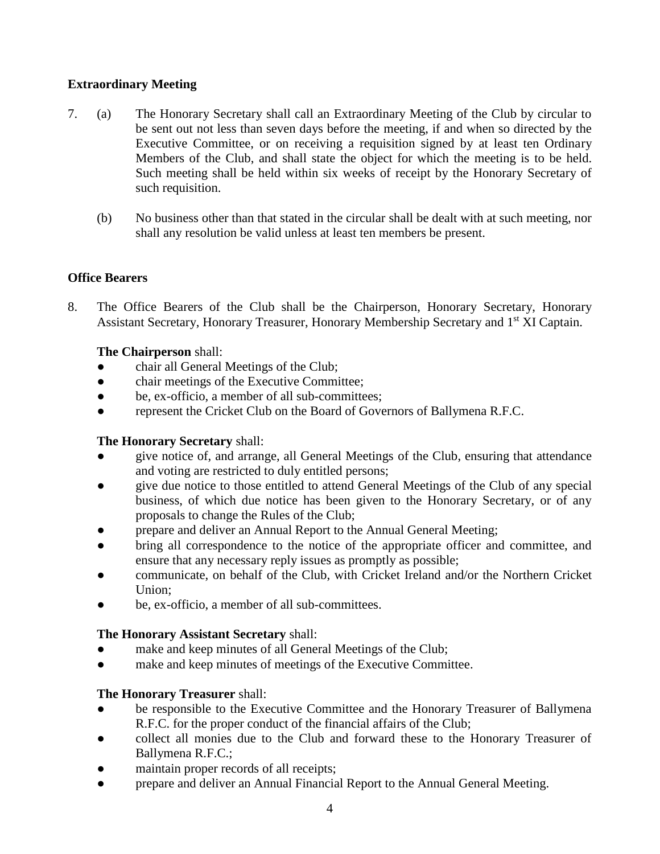# **Extraordinary Meeting**

- 7. (a) The Honorary Secretary shall call an Extraordinary Meeting of the Club by circular to be sent out not less than seven days before the meeting, if and when so directed by the Executive Committee, or on receiving a requisition signed by at least ten Ordinary Members of the Club, and shall state the object for which the meeting is to be held. Such meeting shall be held within six weeks of receipt by the Honorary Secretary of such requisition.
	- (b) No business other than that stated in the circular shall be dealt with at such meeting, nor shall any resolution be valid unless at least ten members be present.

# **Office Bearers**

8. The Office Bearers of the Club shall be the Chairperson, Honorary Secretary, Honorary Assistant Secretary, Honorary Treasurer, Honorary Membership Secretary and 1<sup>st</sup> XI Captain.

# **The Chairperson** shall:

- chair all General Meetings of the Club;
- chair meetings of the Executive Committee;
- be, ex-officio, a member of all sub-committees;
- represent the Cricket Club on the Board of Governors of Ballymena R.F.C.

## **The Honorary Secretary** shall:

- give notice of, and arrange, all General Meetings of the Club, ensuring that attendance and voting are restricted to duly entitled persons;
- give due notice to those entitled to attend General Meetings of the Club of any special business, of which due notice has been given to the Honorary Secretary, or of any proposals to change the Rules of the Club;
- prepare and deliver an Annual Report to the Annual General Meeting;
- bring all correspondence to the notice of the appropriate officer and committee, and ensure that any necessary reply issues as promptly as possible;
- communicate, on behalf of the Club, with Cricket Ireland and/or the Northern Cricket Union;
- be, ex-officio, a member of all sub-committees.

## **The Honorary Assistant Secretary** shall:

- make and keep minutes of all General Meetings of the Club;
- make and keep minutes of meetings of the Executive Committee.

# **The Honorary Treasurer** shall:

- be responsible to the Executive Committee and the Honorary Treasurer of Ballymena R.F.C. for the proper conduct of the financial affairs of the Club;
- collect all monies due to the Club and forward these to the Honorary Treasurer of Ballymena R.F.C.;
- maintain proper records of all receipts;
- prepare and deliver an Annual Financial Report to the Annual General Meeting.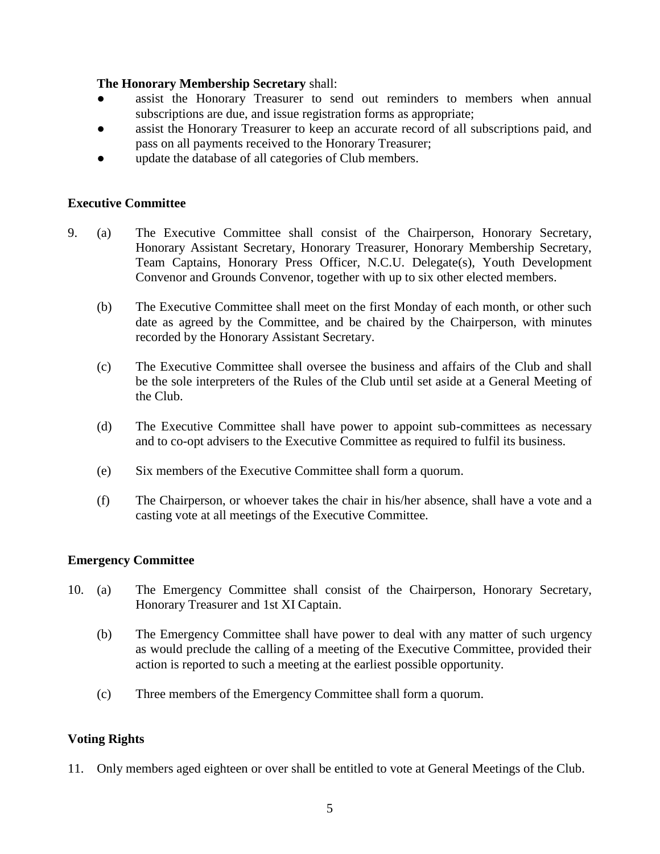### **The Honorary Membership Secretary** shall:

- assist the Honorary Treasurer to send out reminders to members when annual subscriptions are due, and issue registration forms as appropriate;
- assist the Honorary Treasurer to keep an accurate record of all subscriptions paid, and pass on all payments received to the Honorary Treasurer;
- update the database of all categories of Club members.

#### **Executive Committee**

- 9. (a) The Executive Committee shall consist of the Chairperson, Honorary Secretary, Honorary Assistant Secretary, Honorary Treasurer, Honorary Membership Secretary, Team Captains, Honorary Press Officer, N.C.U. Delegate(s), Youth Development Convenor and Grounds Convenor, together with up to six other elected members.
	- (b) The Executive Committee shall meet on the first Monday of each month, or other such date as agreed by the Committee, and be chaired by the Chairperson, with minutes recorded by the Honorary Assistant Secretary.
	- (c) The Executive Committee shall oversee the business and affairs of the Club and shall be the sole interpreters of the Rules of the Club until set aside at a General Meeting of the Club.
	- (d) The Executive Committee shall have power to appoint sub-committees as necessary and to co-opt advisers to the Executive Committee as required to fulfil its business.
	- (e) Six members of the Executive Committee shall form a quorum.
	- (f) The Chairperson, or whoever takes the chair in his/her absence, shall have a vote and a casting vote at all meetings of the Executive Committee.

#### **Emergency Committee**

- 10. (a) The Emergency Committee shall consist of the Chairperson, Honorary Secretary, Honorary Treasurer and 1st XI Captain.
	- (b) The Emergency Committee shall have power to deal with any matter of such urgency as would preclude the calling of a meeting of the Executive Committee, provided their action is reported to such a meeting at the earliest possible opportunity.
	- (c) Three members of the Emergency Committee shall form a quorum.

## **Voting Rights**

11. Only members aged eighteen or over shall be entitled to vote at General Meetings of the Club.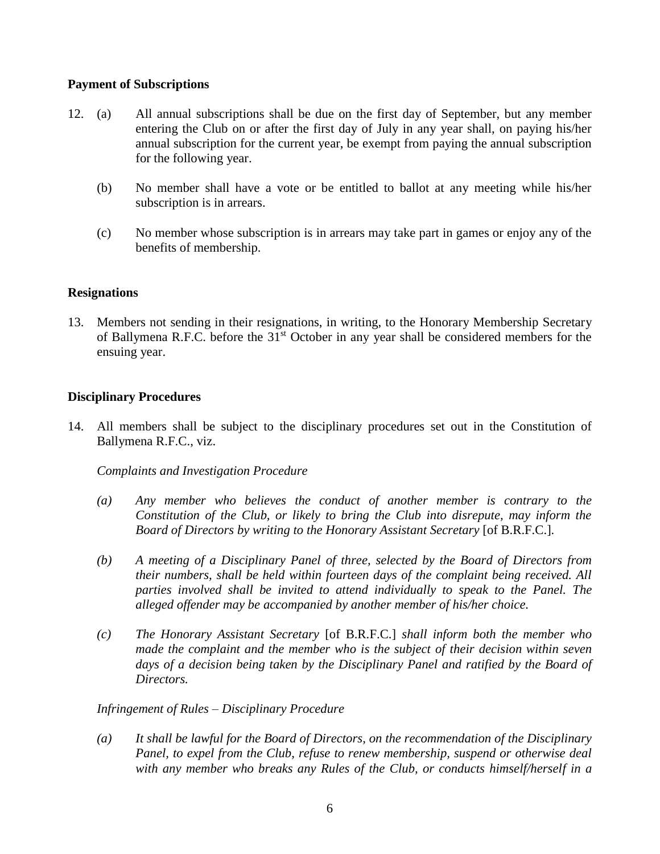### **Payment of Subscriptions**

- 12. (a) All annual subscriptions shall be due on the first day of September, but any member entering the Club on or after the first day of July in any year shall, on paying his/her annual subscription for the current year, be exempt from paying the annual subscription for the following year.
	- (b) No member shall have a vote or be entitled to ballot at any meeting while his/her subscription is in arrears.
	- (c) No member whose subscription is in arrears may take part in games or enjoy any of the benefits of membership.

## **Resignations**

13. Members not sending in their resignations, in writing, to the Honorary Membership Secretary of Ballymena R.F.C. before the 31<sup>st</sup> October in any year shall be considered members for the ensuing year.

### **Disciplinary Procedures**

14. All members shall be subject to the disciplinary procedures set out in the Constitution of Ballymena R.F.C., viz.

*Complaints and Investigation Procedure*

- *(a) Any member who believes the conduct of another member is contrary to the Constitution of the Club, or likely to bring the Club into disrepute, may inform the Board of Directors by writing to the Honorary Assistant Secretary* [of B.R.F.C.]*.*
- *(b) A meeting of a Disciplinary Panel of three, selected by the Board of Directors from their numbers, shall be held within fourteen days of the complaint being received. All parties involved shall be invited to attend individually to speak to the Panel. The alleged offender may be accompanied by another member of his/her choice.*
- *(c) The Honorary Assistant Secretary* [of B.R.F.C.] *shall inform both the member who made the complaint and the member who is the subject of their decision within seven days of a decision being taken by the Disciplinary Panel and ratified by the Board of Directors.*

*Infringement of Rules – Disciplinary Procedure*

*(a) It shall be lawful for the Board of Directors, on the recommendation of the Disciplinary Panel, to expel from the Club, refuse to renew membership, suspend or otherwise deal with any member who breaks any Rules of the Club, or conducts himself/herself in a*